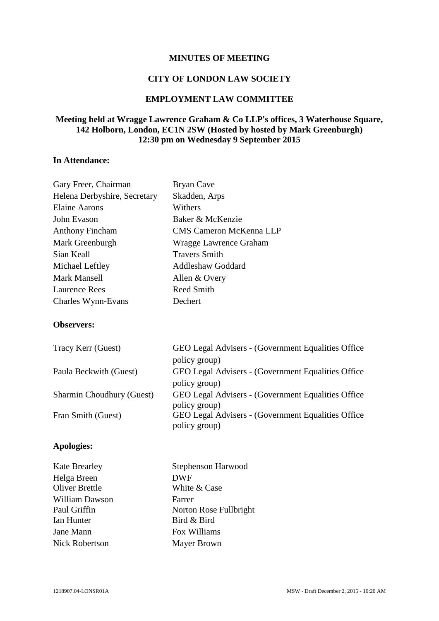### **MINUTES OF MEETING**

### **CITY OF LONDON LAW SOCIETY**

# **EMPLOYMENT LAW COMMITTEE**

# **Meeting held at Wragge Lawrence Graham & Co LLP's offices, 3 Waterhouse Square, 142 Holborn, London, EC1N 2SW (Hosted by hosted by Mark Greenburgh) 12:30 pm on Wednesday 9 September 2015**

# **In Attendance:**

Gary Freer, Chairman Bryan Cave

| <b>OUTY LIGGI, CHAILHIGH</b>     | Di vali Cavc                                                         |
|----------------------------------|----------------------------------------------------------------------|
| Helena Derbyshire, Secretary     | Skadden, Arps                                                        |
| <b>Elaine Aarons</b>             | Withers                                                              |
| John Evason                      | Baker & McKenzie                                                     |
| <b>Anthony Fincham</b>           | <b>CMS Cameron McKenna LLP</b>                                       |
| Mark Greenburgh                  | Wragge Lawrence Graham                                               |
| Sian Keall                       | <b>Travers Smith</b>                                                 |
| Michael Leftley                  | <b>Addleshaw Goddard</b>                                             |
| <b>Mark Mansell</b>              | Allen & Overy                                                        |
| <b>Laurence Rees</b>             | <b>Reed Smith</b>                                                    |
| Charles Wynn-Evans               | Dechert                                                              |
| <b>Observers:</b>                |                                                                      |
| Tracy Kerr (Guest)               | GEO Legal Advisers - (Government Equalities Office)<br>policy group) |
| Paula Beckwith (Guest)           | GEO Legal Advisers - (Government Equalities Office)<br>policy group) |
| <b>Sharmin Choudhury (Guest)</b> | GEO Legal Advisers - (Government Equalities Office)<br>policy group) |
| Fran Smith (Guest)               | GEO Legal Advisers - (Government Equalities Office)<br>policy group) |
| <b>Apologies:</b>                |                                                                      |

| <b>Kate Brearley</b>  | Stephenson Harwood     |
|-----------------------|------------------------|
| Helga Breen           | <b>DWF</b>             |
| <b>Oliver Brettle</b> | White & Case           |
| <b>William Dawson</b> | Farrer                 |
| Paul Griffin          | Norton Rose Fullbright |
| Ian Hunter            | Bird & Bird            |
| Jane Mann             | Fox Williams           |
| <b>Nick Robertson</b> | <b>Mayer Brown</b>     |
|                       |                        |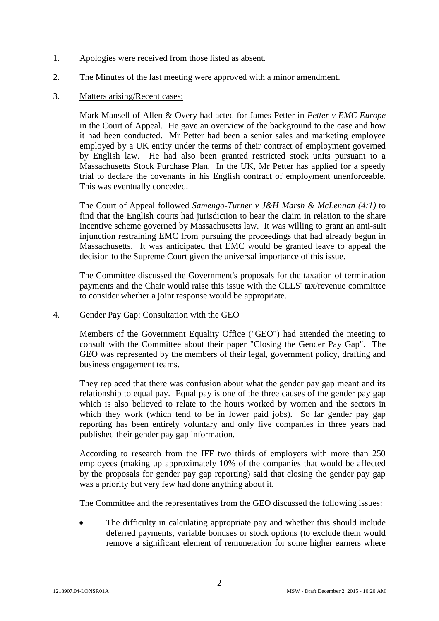- 1. Apologies were received from those listed as absent.
- 2. The Minutes of the last meeting were approved with a minor amendment.
- 3. Matters arising/Recent cases:

Mark Mansell of Allen & Overy had acted for James Petter in *Petter v EMC Europe* in the Court of Appeal. He gave an overview of the background to the case and how it had been conducted. Mr Petter had been a senior sales and marketing employee employed by a UK entity under the terms of their contract of employment governed by English law. He had also been granted restricted stock units pursuant to a Massachusetts Stock Purchase Plan. In the UK, Mr Petter has applied for a speedy trial to declare the covenants in his English contract of employment unenforceable. This was eventually conceded.

The Court of Appeal followed *Samengo-Turner v J&H Marsh & McLennan (4:1)* to find that the English courts had jurisdiction to hear the claim in relation to the share incentive scheme governed by Massachusetts law. It was willing to grant an anti-suit injunction restraining EMC from pursuing the proceedings that had already begun in Massachusetts. It was anticipated that EMC would be granted leave to appeal the decision to the Supreme Court given the universal importance of this issue.

The Committee discussed the Government's proposals for the taxation of termination payments and the Chair would raise this issue with the CLLS' tax/revenue committee to consider whether a joint response would be appropriate.

## 4. Gender Pay Gap: Consultation with the GEO

Members of the Government Equality Office ("GEO") had attended the meeting to consult with the Committee about their paper "Closing the Gender Pay Gap". The GEO was represented by the members of their legal, government policy, drafting and business engagement teams.

They replaced that there was confusion about what the gender pay gap meant and its relationship to equal pay. Equal pay is one of the three causes of the gender pay gap which is also believed to relate to the hours worked by women and the sectors in which they work (which tend to be in lower paid jobs). So far gender pay gap reporting has been entirely voluntary and only five companies in three years had published their gender pay gap information.

According to research from the IFF two thirds of employers with more than 250 employees (making up approximately 10% of the companies that would be affected by the proposals for gender pay gap reporting) said that closing the gender pay gap was a priority but very few had done anything about it.

The Committee and the representatives from the GEO discussed the following issues:

 The difficulty in calculating appropriate pay and whether this should include deferred payments, variable bonuses or stock options (to exclude them would remove a significant element of remuneration for some higher earners where